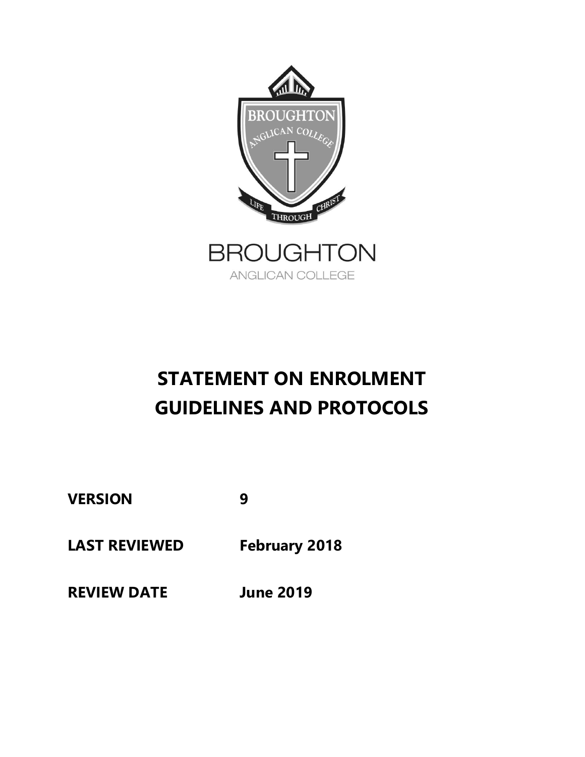

# **STATEMENT ON ENROLMENT GUIDELINES AND PROTOCOLS**

**VERSION 9**

**LAST REVIEWED February 2018**

**REVIEW DATE June 2019**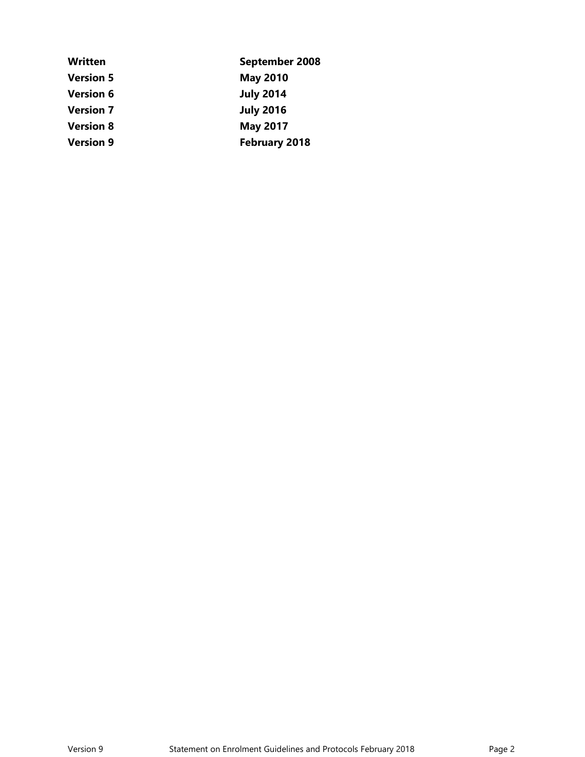| <b>Written</b>   | September 2008       |  |
|------------------|----------------------|--|
| <b>Version 5</b> | <b>May 2010</b>      |  |
| <b>Version 6</b> | <b>July 2014</b>     |  |
| <b>Version 7</b> | <b>July 2016</b>     |  |
| <b>Version 8</b> | <b>May 2017</b>      |  |
| <b>Version 9</b> | <b>February 2018</b> |  |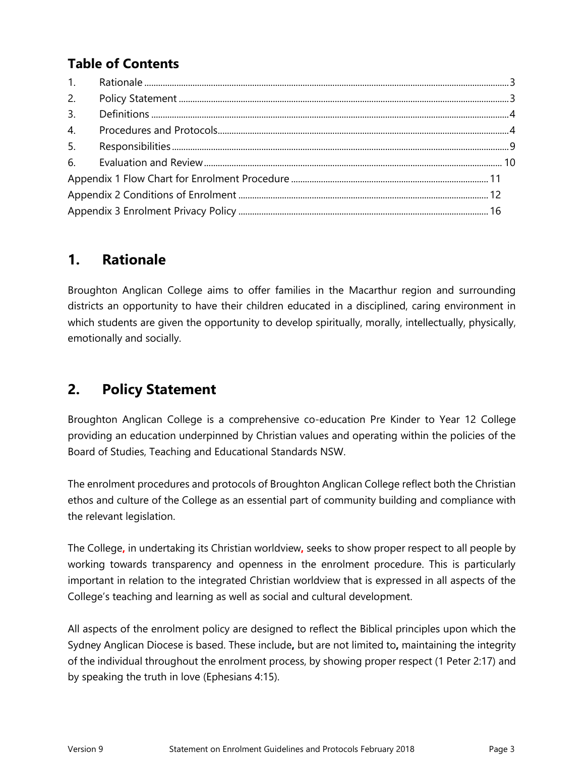## **Table of Contents**

| 2.               |  |
|------------------|--|
| 3.               |  |
| $\overline{4}$ . |  |
| 5.               |  |
|                  |  |
|                  |  |
|                  |  |
|                  |  |

### <span id="page-2-0"></span>**1. Rationale**

Broughton Anglican College aims to offer families in the Macarthur region and surrounding districts an opportunity to have their children educated in a disciplined, caring environment in which students are given the opportunity to develop spiritually, morally, intellectually, physically, emotionally and socially.

### <span id="page-2-1"></span>**2. Policy Statement**

Broughton Anglican College is a comprehensive co-education Pre Kinder to Year 12 College providing an education underpinned by Christian values and operating within the policies of the Board of Studies, Teaching and Educational Standards NSW.

The enrolment procedures and protocols of Broughton Anglican College reflect both the Christian ethos and culture of the College as an essential part of community building and compliance with the relevant legislation.

The College**,** in undertaking its Christian worldview**,** seeks to show proper respect to all people by working towards transparency and openness in the enrolment procedure. This is particularly important in relation to the integrated Christian worldview that is expressed in all aspects of the College's teaching and learning as well as social and cultural development.

All aspects of the enrolment policy are designed to reflect the Biblical principles upon which the Sydney Anglican Diocese is based. These include**,** but are not limited to**,** maintaining the integrity of the individual throughout the enrolment process, by showing proper respect (1 Peter 2:17) and by speaking the truth in love (Ephesians 4:15).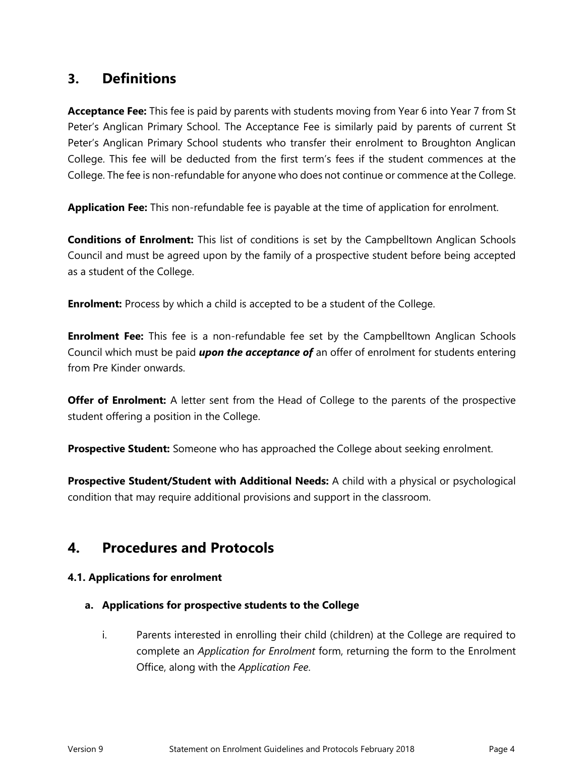### <span id="page-3-0"></span>**3. Definitions**

**Acceptance Fee:** This fee is paid by parents with students moving from Year 6 into Year 7 from St Peter's Anglican Primary School. The Acceptance Fee is similarly paid by parents of current St Peter's Anglican Primary School students who transfer their enrolment to Broughton Anglican College. This fee will be deducted from the first term's fees if the student commences at the College. The fee is non-refundable for anyone who does not continue or commence at the College.

**Application Fee:** This non-refundable fee is payable at the time of application for enrolment.

**Conditions of Enrolment:** This list of conditions is set by the Campbelltown Anglican Schools Council and must be agreed upon by the family of a prospective student before being accepted as a student of the College.

**Enrolment:** Process by which a child is accepted to be a student of the College.

**Enrolment Fee:** This fee is a non-refundable fee set by the Campbelltown Anglican Schools Council which must be paid *upon the acceptance of* an offer of enrolment for students entering from Pre Kinder onwards.

**Offer of Enrolment:** A letter sent from the Head of College to the parents of the prospective student offering a position in the College.

**Prospective Student:** Someone who has approached the College about seeking enrolment.

**Prospective Student/Student with Additional Needs:** A child with a physical or psychological condition that may require additional provisions and support in the classroom.

### <span id="page-3-1"></span>**4. Procedures and Protocols**

#### **4.1. Applications for enrolment**

#### **a. Applications for prospective students to the College**

i. Parents interested in enrolling their child (children) at the College are required to complete an *Application for Enrolment* form, returning the form to the Enrolment Office, along with the *Application Fee*.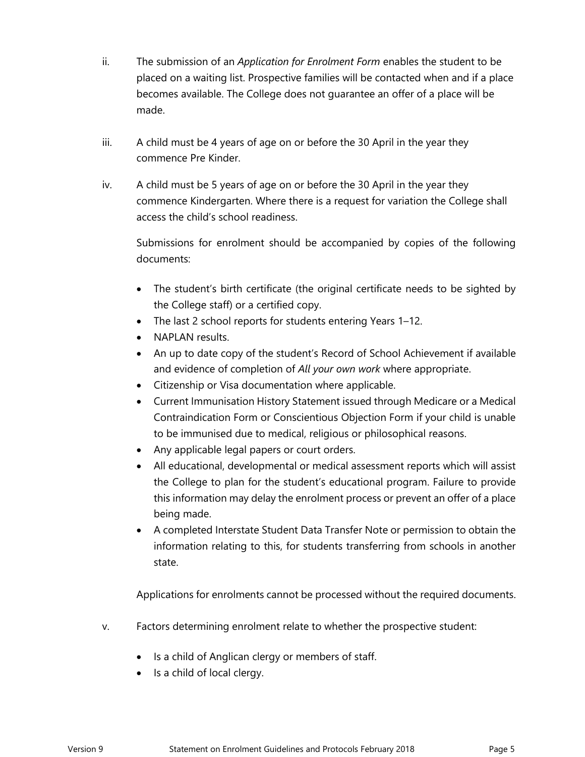- ii. The submission of an *Application for Enrolment Form* enables the student to be placed on a waiting list. Prospective families will be contacted when and if a place becomes available. The College does not guarantee an offer of a place will be made.
- iii. A child must be 4 years of age on or before the 30 April in the year they commence Pre Kinder.
- iv. A child must be 5 years of age on or before the 30 April in the year they commence Kindergarten. Where there is a request for variation the College shall access the child's school readiness.

Submissions for enrolment should be accompanied by copies of the following documents:

- The student's birth certificate (the original certificate needs to be sighted by the College staff) or a certified copy.
- The last 2 school reports for students entering Years 1–12.
- NAPLAN results.
- An up to date copy of the student's Record of School Achievement if available and evidence of completion of *All your own work* where appropriate.
- Citizenship or Visa documentation where applicable.
- Current Immunisation History Statement issued through Medicare or a Medical Contraindication Form or Conscientious Objection Form if your child is unable to be immunised due to medical, religious or philosophical reasons.
- Any applicable legal papers or court orders.
- All educational, developmental or medical assessment reports which will assist the College to plan for the student's educational program. Failure to provide this information may delay the enrolment process or prevent an offer of a place being made.
- A completed Interstate Student Data Transfer Note or permission to obtain the information relating to this, for students transferring from schools in another state.

Applications for enrolments cannot be processed without the required documents.

- v. Factors determining enrolment relate to whether the prospective student:
	- Is a child of Anglican clergy or members of staff.
	- $\bullet$  Is a child of local clergy.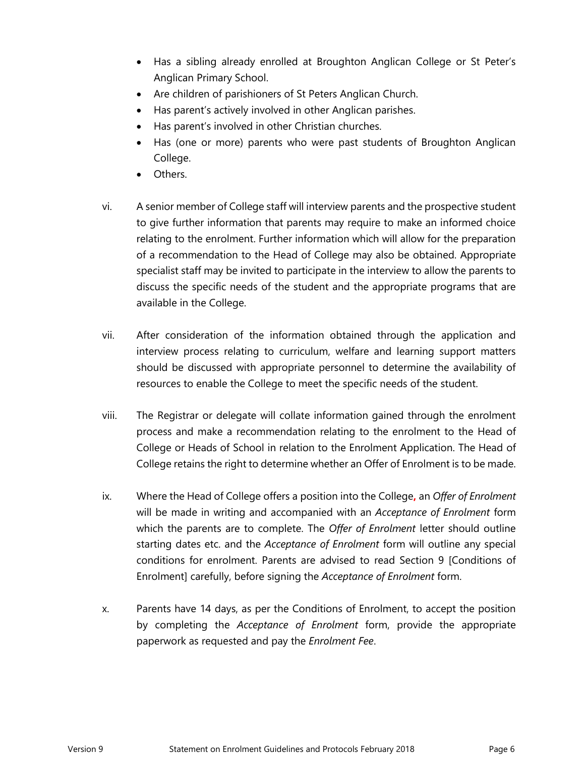- Has a sibling already enrolled at Broughton Anglican College or St Peter's Anglican Primary School.
- Are children of parishioners of St Peters Anglican Church.
- Has parent's actively involved in other Anglican parishes.
- Has parent's involved in other Christian churches.
- Has (one or more) parents who were past students of Broughton Anglican College.
- Others.
- vi. A senior member of College staff will interview parents and the prospective student to give further information that parents may require to make an informed choice relating to the enrolment. Further information which will allow for the preparation of a recommendation to the Head of College may also be obtained. Appropriate specialist staff may be invited to participate in the interview to allow the parents to discuss the specific needs of the student and the appropriate programs that are available in the College.
- vii. After consideration of the information obtained through the application and interview process relating to curriculum, welfare and learning support matters should be discussed with appropriate personnel to determine the availability of resources to enable the College to meet the specific needs of the student.
- viii. The Registrar or delegate will collate information gained through the enrolment process and make a recommendation relating to the enrolment to the Head of College or Heads of School in relation to the Enrolment Application. The Head of College retains the right to determine whether an Offer of Enrolment is to be made.
- ix. Where the Head of College offers a position into the College**,** an *Offer of Enrolment* will be made in writing and accompanied with an *Acceptance of Enrolment* form which the parents are to complete. The *Offer of Enrolment* letter should outline starting dates etc. and the *Acceptance of Enrolment* form will outline any special conditions for enrolment. Parents are advised to read Section 9 [Conditions of Enrolment] carefully, before signing the *Acceptance of Enrolment* form.
- x. Parents have 14 days, as per the Conditions of Enrolment, to accept the position by completing the *Acceptance of Enrolment* form, provide the appropriate paperwork as requested and pay the *Enrolment Fee*.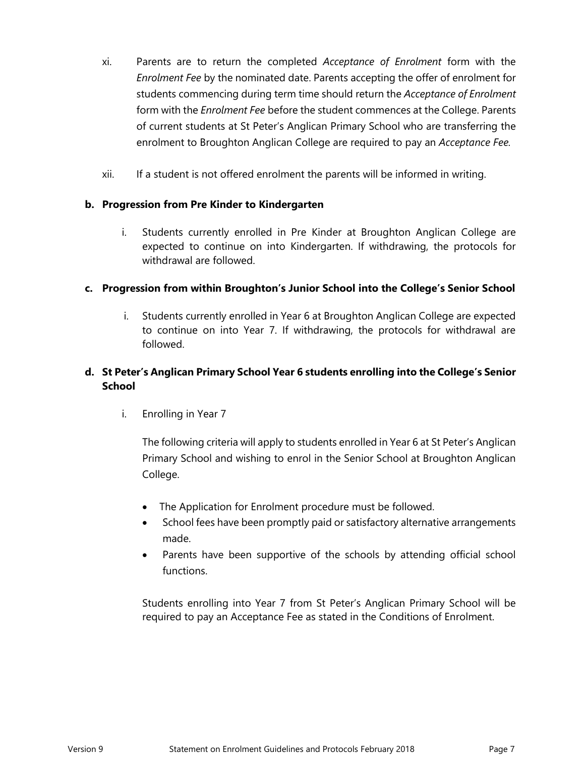- xi. Parents are to return the completed *Acceptance of Enrolment* form with the *Enrolment Fee* by the nominated date. Parents accepting the offer of enrolment for students commencing during term time should return the *Acceptance of Enrolment* form with the *Enrolment Fee* before the student commences at the College. Parents of current students at St Peter's Anglican Primary School who are transferring the enrolment to Broughton Anglican College are required to pay an *Acceptance Fee.*
- xii. If a student is not offered enrolment the parents will be informed in writing.

#### **b. Progression from Pre Kinder to Kindergarten**

i. Students currently enrolled in Pre Kinder at Broughton Anglican College are expected to continue on into Kindergarten. If withdrawing, the protocols for withdrawal are followed.

#### **c. Progression from within Broughton's Junior School into the College's Senior School**

i. Students currently enrolled in Year 6 at Broughton Anglican College are expected to continue on into Year 7. If withdrawing, the protocols for withdrawal are followed.

#### **d. St Peter's Anglican Primary School Year 6 students enrolling into the College's Senior School**

i. Enrolling in Year 7

The following criteria will apply to students enrolled in Year 6 at St Peter's Anglican Primary School and wishing to enrol in the Senior School at Broughton Anglican College.

- The Application for Enrolment procedure must be followed.
- School fees have been promptly paid or satisfactory alternative arrangements made.
- Parents have been supportive of the schools by attending official school functions.

Students enrolling into Year 7 from St Peter's Anglican Primary School will be required to pay an Acceptance Fee as stated in the Conditions of Enrolment.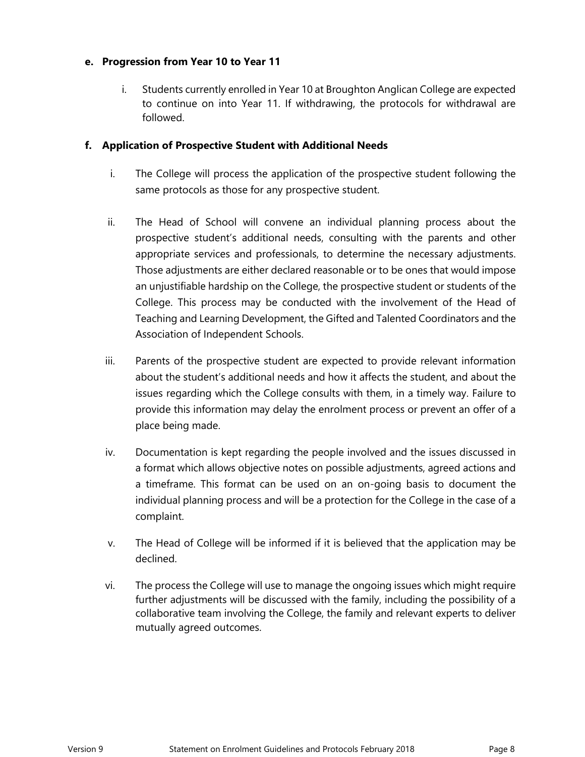#### **e. Progression from Year 10 to Year 11**

i. Students currently enrolled in Year 10 at Broughton Anglican College are expected to continue on into Year 11. If withdrawing, the protocols for withdrawal are followed.

#### **f. Application of Prospective Student with Additional Needs**

- i. The College will process the application of the prospective student following the same protocols as those for any prospective student.
- ii. The Head of School will convene an individual planning process about the prospective student's additional needs, consulting with the parents and other appropriate services and professionals, to determine the necessary adjustments. Those adjustments are either declared reasonable or to be ones that would impose an unjustifiable hardship on the College, the prospective student or students of the College. This process may be conducted with the involvement of the Head of Teaching and Learning Development, the Gifted and Talented Coordinators and the Association of Independent Schools.
- iii. Parents of the prospective student are expected to provide relevant information about the student's additional needs and how it affects the student, and about the issues regarding which the College consults with them, in a timely way. Failure to provide this information may delay the enrolment process or prevent an offer of a place being made.
- iv. Documentation is kept regarding the people involved and the issues discussed in a format which allows objective notes on possible adjustments, agreed actions and a timeframe. This format can be used on an on-going basis to document the individual planning process and will be a protection for the College in the case of a complaint.
- v. The Head of College will be informed if it is believed that the application may be declined.
- vi. The process the College will use to manage the ongoing issues which might require further adjustments will be discussed with the family, including the possibility of a collaborative team involving the College, the family and relevant experts to deliver mutually agreed outcomes.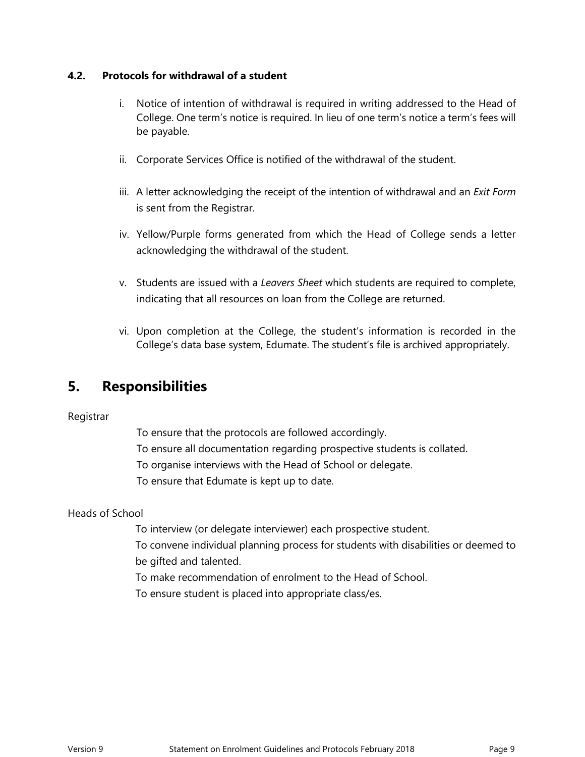#### **4.2. Protocols for withdrawal of a student**

- i. Notice of intention of withdrawal is required in writing addressed to the Head of College. One term's notice is required. In lieu of one term's notice a term's fees will be payable.
- ii. Corporate Services Office is notified of the withdrawal of the student.
- iii. A letter acknowledging the receipt of the intention of withdrawal and an *Exit Form* is sent from the Registrar.
- iv. Yellow/Purple forms generated from which the Head of College sends a letter acknowledging the withdrawal of the student.
- v. Students are issued with a *Leavers Sheet* which students are required to complete, indicating that all resources on loan from the College are returned.
- vi. Upon completion at the College, the student's information is recorded in the College's data base system, Edumate. The student's file is archived appropriately.

### <span id="page-8-0"></span>**5. Responsibilities**

#### Registrar

To ensure that the protocols are followed accordingly. To ensure all documentation regarding prospective students is collated. To organise interviews with the Head of School or delegate. To ensure that Edumate is kept up to date.

#### Heads of School

To interview (or delegate interviewer) each prospective student.

To convene individual planning process for students with disabilities or deemed to be gifted and talented.

To make recommendation of enrolment to the Head of School.

To ensure student is placed into appropriate class/es.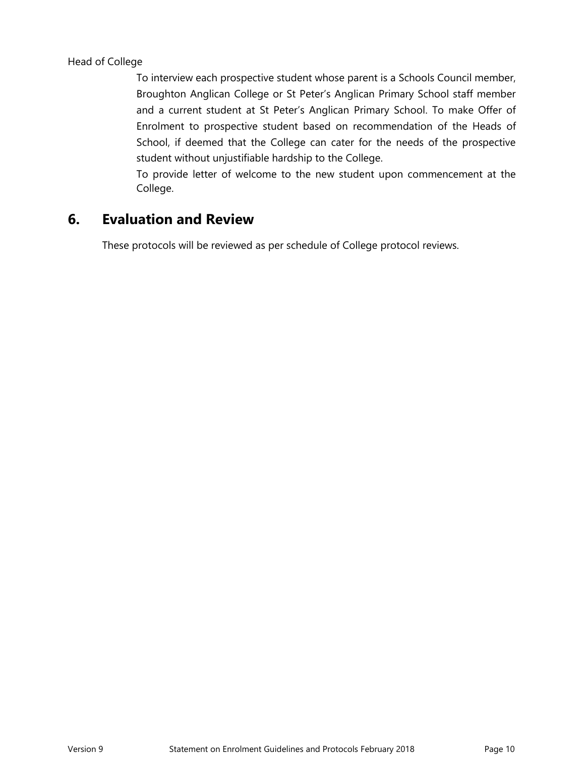To interview each prospective student whose parent is a Schools Council member, Broughton Anglican College or St Peter's Anglican Primary School staff member and a current student at St Peter's Anglican Primary School. To make Offer of Enrolment to prospective student based on recommendation of the Heads of School, if deemed that the College can cater for the needs of the prospective student without unjustifiable hardship to the College.

To provide letter of welcome to the new student upon commencement at the College.

### <span id="page-9-0"></span>**6. Evaluation and Review**

These protocols will be reviewed as per schedule of College protocol reviews.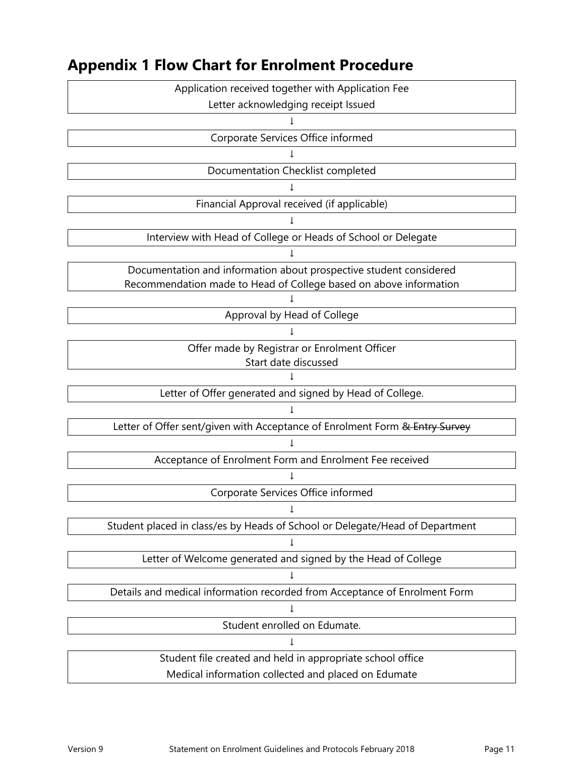

### <span id="page-10-0"></span>**Appendix 1 Flow Chart for Enrolment Procedure**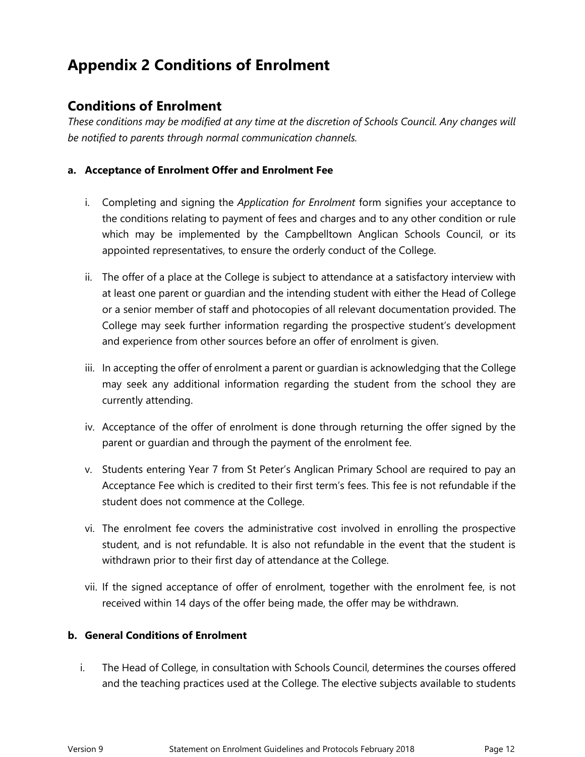# <span id="page-11-0"></span>**Appendix 2 Conditions of Enrolment**

### **Conditions of Enrolment**

*These conditions may be modified at any time at the discretion of Schools Council. Any changes will be notified to parents through normal communication channels.*

#### **a. Acceptance of Enrolment Offer and Enrolment Fee**

- i. Completing and signing the *Application for Enrolment* form signifies your acceptance to the conditions relating to payment of fees and charges and to any other condition or rule which may be implemented by the Campbelltown Anglican Schools Council, or its appointed representatives, to ensure the orderly conduct of the College.
- ii. The offer of a place at the College is subject to attendance at a satisfactory interview with at least one parent or guardian and the intending student with either the Head of College or a senior member of staff and photocopies of all relevant documentation provided. The College may seek further information regarding the prospective student's development and experience from other sources before an offer of enrolment is given.
- iii. In accepting the offer of enrolment a parent or guardian is acknowledging that the College may seek any additional information regarding the student from the school they are currently attending.
- iv. Acceptance of the offer of enrolment is done through returning the offer signed by the parent or guardian and through the payment of the enrolment fee.
- v. Students entering Year 7 from St Peter's Anglican Primary School are required to pay an Acceptance Fee which is credited to their first term's fees. This fee is not refundable if the student does not commence at the College.
- vi. The enrolment fee covers the administrative cost involved in enrolling the prospective student, and is not refundable. It is also not refundable in the event that the student is withdrawn prior to their first day of attendance at the College.
- vii. If the signed acceptance of offer of enrolment, together with the enrolment fee, is not received within 14 days of the offer being made, the offer may be withdrawn.

#### **b. General Conditions of Enrolment**

i. The Head of College, in consultation with Schools Council, determines the courses offered and the teaching practices used at the College. The elective subjects available to students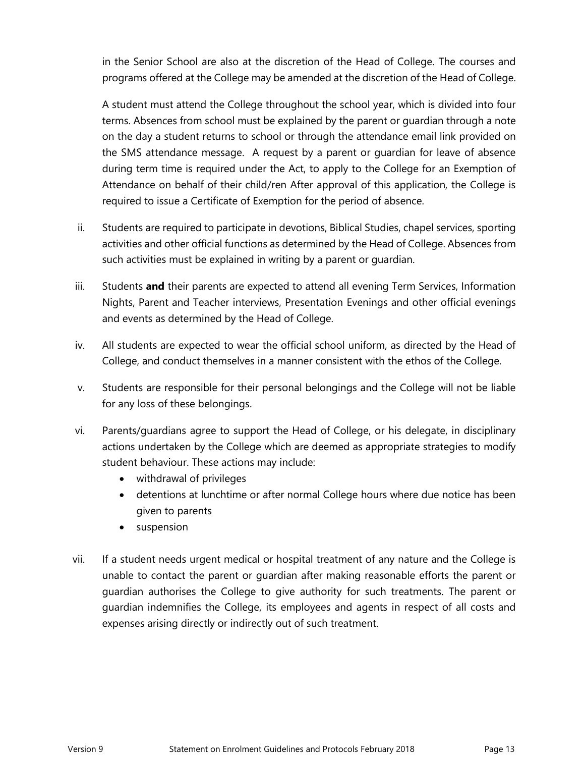in the Senior School are also at the discretion of the Head of College. The courses and programs offered at the College may be amended at the discretion of the Head of College.

A student must attend the College throughout the school year, which is divided into four terms. Absences from school must be explained by the parent or guardian through a note on the day a student returns to school or through the attendance email link provided on the SMS attendance message. A request by a parent or guardian for leave of absence during term time is required under the Act, to apply to the College for an Exemption of Attendance on behalf of their child/ren After approval of this application, the College is required to issue a Certificate of Exemption for the period of absence.

- ii. Students are required to participate in devotions, Biblical Studies, chapel services, sporting activities and other official functions as determined by the Head of College. Absences from such activities must be explained in writing by a parent or guardian.
- iii. Students **and** their parents are expected to attend all evening Term Services, Information Nights, Parent and Teacher interviews, Presentation Evenings and other official evenings and events as determined by the Head of College.
- iv. All students are expected to wear the official school uniform, as directed by the Head of College, and conduct themselves in a manner consistent with the ethos of the College.
- v. Students are responsible for their personal belongings and the College will not be liable for any loss of these belongings.
- vi. Parents/guardians agree to support the Head of College, or his delegate, in disciplinary actions undertaken by the College which are deemed as appropriate strategies to modify student behaviour. These actions may include:
	- withdrawal of privileges
	- detentions at lunchtime or after normal College hours where due notice has been given to parents
	- suspension
- vii. If a student needs urgent medical or hospital treatment of any nature and the College is unable to contact the parent or guardian after making reasonable efforts the parent or guardian authorises the College to give authority for such treatments. The parent or guardian indemnifies the College, its employees and agents in respect of all costs and expenses arising directly or indirectly out of such treatment.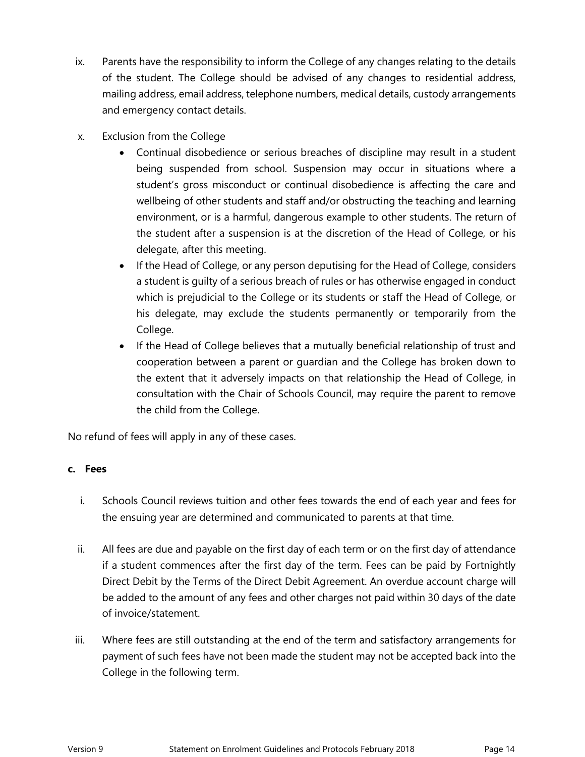- ix. Parents have the responsibility to inform the College of any changes relating to the details of the student. The College should be advised of any changes to residential address, mailing address, email address, telephone numbers, medical details, custody arrangements and emergency contact details.
- x. Exclusion from the College
	- Continual disobedience or serious breaches of discipline may result in a student being suspended from school. Suspension may occur in situations where a student's gross misconduct or continual disobedience is affecting the care and wellbeing of other students and staff and/or obstructing the teaching and learning environment, or is a harmful, dangerous example to other students. The return of the student after a suspension is at the discretion of the Head of College, or his delegate, after this meeting.
	- If the Head of College, or any person deputising for the Head of College, considers a student is guilty of a serious breach of rules or has otherwise engaged in conduct which is prejudicial to the College or its students or staff the Head of College, or his delegate, may exclude the students permanently or temporarily from the College.
	- If the Head of College believes that a mutually beneficial relationship of trust and cooperation between a parent or guardian and the College has broken down to the extent that it adversely impacts on that relationship the Head of College, in consultation with the Chair of Schools Council, may require the parent to remove the child from the College.

No refund of fees will apply in any of these cases.

#### **c. Fees**

- i. Schools Council reviews tuition and other fees towards the end of each year and fees for the ensuing year are determined and communicated to parents at that time.
- ii. All fees are due and payable on the first day of each term or on the first day of attendance if a student commences after the first day of the term. Fees can be paid by Fortnightly Direct Debit by the Terms of the Direct Debit Agreement. An overdue account charge will be added to the amount of any fees and other charges not paid within 30 days of the date of invoice/statement.
- iii. Where fees are still outstanding at the end of the term and satisfactory arrangements for payment of such fees have not been made the student may not be accepted back into the College in the following term.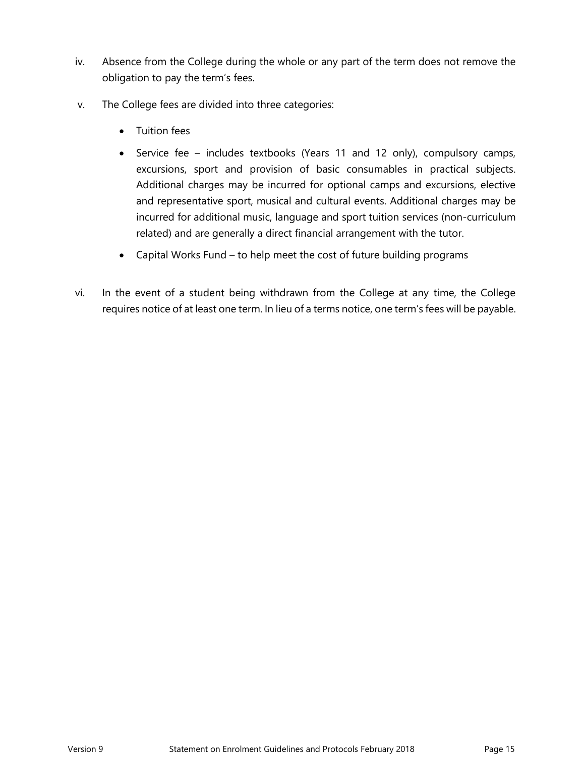- iv. Absence from the College during the whole or any part of the term does not remove the obligation to pay the term's fees.
- v. The College fees are divided into three categories:
	- Tuition fees
	- Service fee includes textbooks (Years 11 and 12 only), compulsory camps, excursions, sport and provision of basic consumables in practical subjects. Additional charges may be incurred for optional camps and excursions, elective and representative sport, musical and cultural events. Additional charges may be incurred for additional music, language and sport tuition services (non-curriculum related) and are generally a direct financial arrangement with the tutor.
	- Capital Works Fund to help meet the cost of future building programs
- vi. In the event of a student being withdrawn from the College at any time, the College requires notice of at least one term. In lieu of a terms notice, one term's fees will be payable.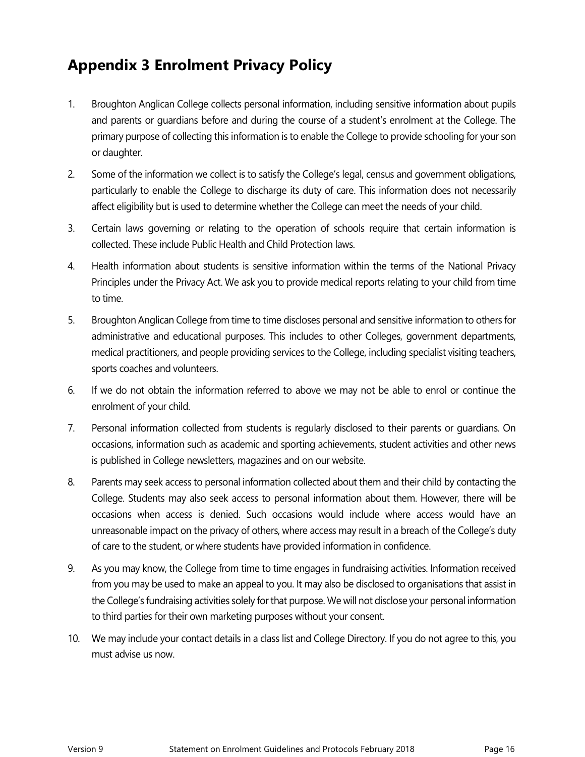# <span id="page-15-0"></span>**Appendix 3 Enrolment Privacy Policy**

- 1. Broughton Anglican College collects personal information, including sensitive information about pupils and parents or guardians before and during the course of a student's enrolment at the College. The primary purpose of collecting this information is to enable the College to provide schooling for your son or daughter.
- 2. Some of the information we collect is to satisfy the College's legal, census and government obligations, particularly to enable the College to discharge its duty of care. This information does not necessarily affect eligibility but is used to determine whether the College can meet the needs of your child.
- 3. Certain laws governing or relating to the operation of schools require that certain information is collected. These include Public Health and Child Protection laws.
- 4. Health information about students is sensitive information within the terms of the National Privacy Principles under the Privacy Act. We ask you to provide medical reports relating to your child from time to time.
- 5. Broughton Anglican College from time to time discloses personal and sensitive information to others for administrative and educational purposes. This includes to other Colleges, government departments, medical practitioners, and people providing services to the College, including specialist visiting teachers, sports coaches and volunteers.
- 6. If we do not obtain the information referred to above we may not be able to enrol or continue the enrolment of your child.
- 7. Personal information collected from students is regularly disclosed to their parents or guardians. On occasions, information such as academic and sporting achievements, student activities and other news is published in College newsletters, magazines and on our website.
- 8. Parents may seek access to personal information collected about them and their child by contacting the College. Students may also seek access to personal information about them. However, there will be occasions when access is denied. Such occasions would include where access would have an unreasonable impact on the privacy of others, where access may result in a breach of the College's duty of care to the student, or where students have provided information in confidence.
- 9. As you may know, the College from time to time engages in fundraising activities. Information received from you may be used to make an appeal to you. It may also be disclosed to organisations that assist in the College's fundraising activities solely for that purpose. We will not disclose your personal information to third parties for their own marketing purposes without your consent.
- 10. We may include your contact details in a class list and College Directory. If you do not agree to this, you must advise us now.